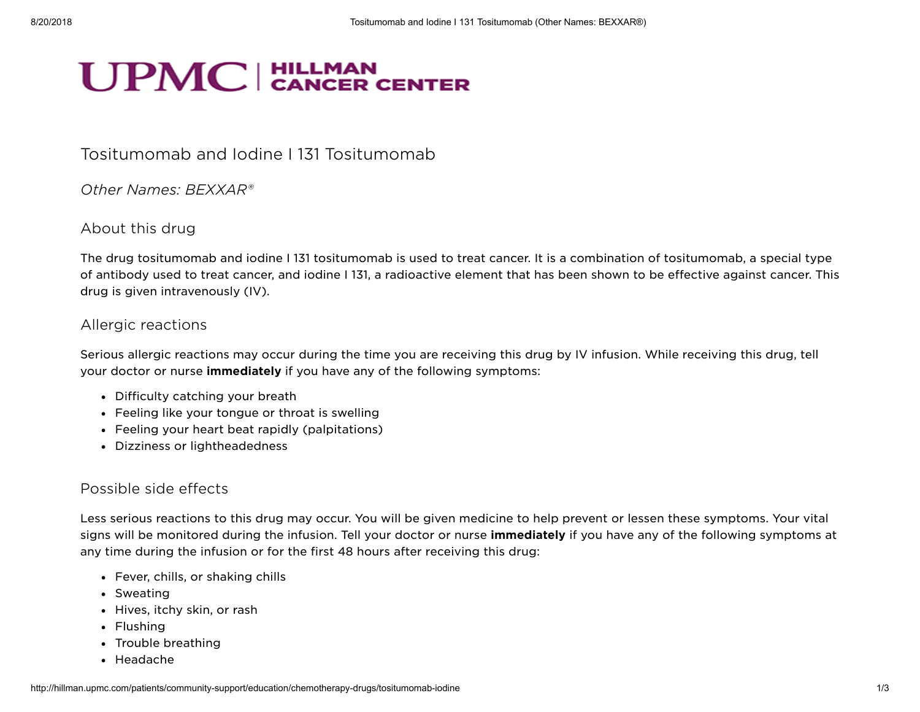# **UPMC** CANCER CENTER

## Tositumomab and Iodine I 131 Tositumomab

Other Names: BEXXAR®

#### About this drug

The drug tositumomab and iodine I 131 tositumomab is used to treat cancer. It is a combination of tositumomab, a special type of antibody used to treat cancer, and iodine I 131, a radioactive element that has been shown to be effective against cancer. This drug is given intravenously (IV).

#### Allergic reactions

Serious allergic reactions may occur during the time you are receiving this drug by IV infusion. While receiving this drug, tell your doctor or nurse *immediately* if you have any of the following symptoms:

- Difficulty catching your breath
- Feeling like your tongue or throat is swelling
- Feeling your heart beat rapidly (palpitations)
- Dizziness or lightheadedness

### Possible side effects

Less serious reactions to this drug may occur. You will be given medicine to help prevent or lessen these symptoms. Your vital signs will be monitored during the infusion. Tell your doctor or nurse **immediately** if you have any of the following symptoms at any time during the infusion or for the first 48 hours after receiving this drug:

- Fever, chills, or shaking chills
- Sweating
- Hives, itchy skin, or rash
- Flushing
- Trouble breathing
- Headache